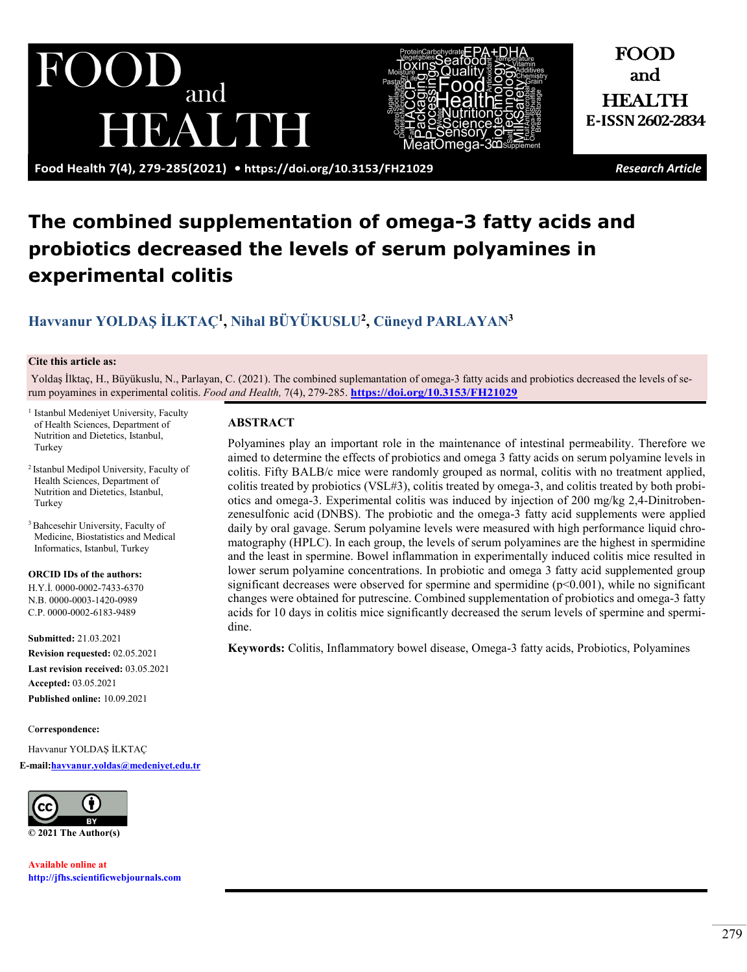# $\bigcup$ and **EAUDE**



**Food Health 7(4), 279-285(2021) •<https://doi.org/10.3153/FH21029>** *Research Article*

FOOD and

HEALTH **E-ISSN 2602-2834**

## **The combined supplementation of omega-3 fatty acids and probiotics decreased the levels of serum polyamines in experimental colitis**

### **[Havvanur YOLDAŞ İLKTAÇ](https://orcid.org/0000-0002-7433-6370)1, [Nihal BÜYÜKUSLU](https://orcid.org/0000-0003-1420-0989)2, [Cüneyd PARLAYAN3](https://orcid.org/0000-0002-6183-9489)**

#### **Cite this article as:**

Yoldaş İlktaç, H., Büyükuslu, N., Parlayan, C. (2021). The combined suplemantation of omega-3 fatty acids and probiotics decreased the levels of serum poyamines in experimental colitis. *Food and Health,* 7(4), 279-285. **<https://doi.org/10.3153/FH21029>**

- <sup>1</sup> Istanbul Medeniyet University, Faculty of Health Sciences, Department of Nutrition and Dietetics, Istanbul, Turkey
- <sup>2</sup> Istanbul Medipol University, Faculty of Health Sciences, Department of Nutrition and Dietetics, Istanbul, Turkey
- <sup>3</sup> Bahcesehir University, Faculty of Medicine, Biostatistics and Medical Informatics, Istanbul, Turkey

#### **ORCID IDs of the authors:**

H.Y.İ. 0000-0002-7433-6370 N.B[. 0000](https://orcid.org/orcid-search/0000-0003-1420-0989)-0003-1420-0989 C.P. 0000-0002-6183-9489

**Submitted:** 21.03.2021 **Revision requested:** 02.05.2021 **Last revision received:** 03.05.2021 **Accepted:** 03.05.2021 **Published online:** 10.09.2021

C**orrespondence:** 

Havvanur YOLDAŞ İLKTAÇ **E-mai[l:havvanur.yoldas@medeniyet.edu.tr](mailto:havvanur.yoldas@medeniyet.edu.tr)**



**Available online at [http://jfhs.scientificwebjournals.com](http://jfhs.scientificwebjournals.com/)**

#### **ABSTRACT**

Polyamines play an important role in the maintenance of intestinal permeability. Therefore we aimed to determine the effects of probiotics and omega 3 fatty acids on serum polyamine levels in colitis. Fifty BALB/c mice were randomly grouped as normal, colitis with no treatment applied, colitis treated by probiotics (VSL#3), colitis treated by omega-3, and colitis treated by both probiotics and omega-3. Experimental colitis was induced by injection of 200 mg/kg 2,4-Dinitrobenzenesulfonic acid (DNBS). The probiotic and the omega-3 fatty acid supplements were applied daily by oral gavage. Serum polyamine levels were measured with high performance liquid chromatography (HPLC). In each group, the levels of serum polyamines are the highest in spermidine and the least in spermine. Bowel inflammation in experimentally induced colitis mice resulted in lower serum polyamine concentrations. In probiotic and omega 3 fatty acid supplemented group significant decreases were observed for spermine and spermidine  $(p<0.001)$ , while no significant changes were obtained for putrescine. Combined supplementation of probiotics and omega-3 fatty acids for 10 days in colitis mice significantly decreased the serum levels of spermine and spermidine.

**Keywords:** Colitis, Inflammatory bowel disease, Omega-3 fatty acids, Probiotics, Polyamines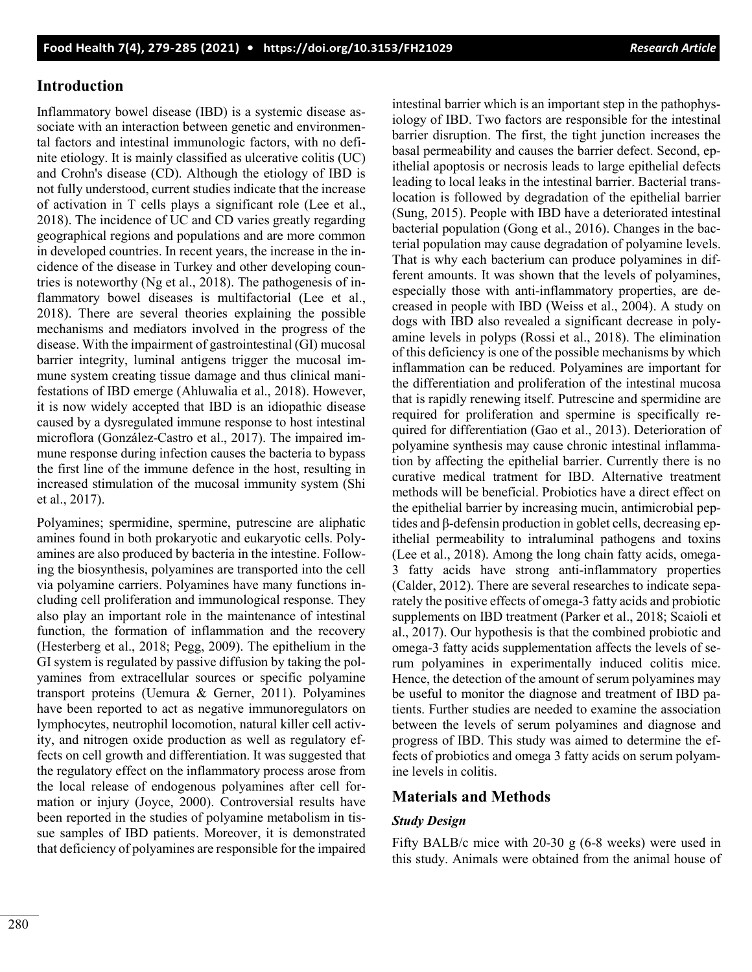#### **Introduction**

Inflammatory bowel disease (IBD) is a systemic disease associate with an interaction between genetic and environmental factors and intestinal immunologic factors, with no definite etiology. It is mainly classified as ulcerative colitis (UC) and Crohn's disease (CD). Although the etiology of IBD is not fully understood, current studies indicate that the increase of activation in T cells plays a significant role (Lee et al., 2018). The incidence of UC and CD varies greatly regarding geographical regions and populations and are more common in developed countries. In recent years, the increase in the incidence of the disease in Turkey and other developing countries is noteworthy (Ng et al., 2018). The pathogenesis of inflammatory bowel diseases is multifactorial (Lee et al., 2018). There are several theories explaining the possible mechanisms and mediators involved in the progress of the disease. With the impairment of gastrointestinal (GI) mucosal barrier integrity, luminal antigens trigger the mucosal immune system creating tissue damage and thus clinical manifestations of IBD emerge (Ahluwalia et al., 2018). However, it is now widely accepted that IBD is an idiopathic disease caused by a dysregulated immune response to host intestinal microflora (González-Castro et al., 2017). The impaired immune response during infection causes the bacteria to bypass the first line of the immune defence in the host, resulting in increased stimulation of the mucosal immunity system (Shi et al., 2017).

Polyamines; spermidine, spermine, putrescine are aliphatic amines found in both prokaryotic and eukaryotic cells. Polyamines are also produced by bacteria in the intestine. Following the biosynthesis, polyamines are transported into the cell via polyamine carriers. Polyamines have many functions including cell proliferation and immunological response. They also play an important role in the maintenance of intestinal function, the formation of inflammation and the recovery (Hesterberg et al., 2018; Pegg, 2009). The epithelium in the GI system is regulated by passive diffusion by taking the polyamines from extracellular sources or specific polyamine transport proteins (Uemura & Gerner, 2011). Polyamines have been reported to act as negative immunoregulators on lymphocytes, neutrophil locomotion, natural killer cell activity, and nitrogen oxide production as well as regulatory effects on cell growth and differentiation. It was suggested that the regulatory effect on the inflammatory process arose from the local release of endogenous polyamines after cell formation or injury (Joyce, 2000). Controversial results have been reported in the studies of polyamine metabolism in tissue samples of IBD patients. Moreover, it is demonstrated that deficiency of polyamines are responsible for the impaired intestinal barrier which is an important step in the pathophysiology of IBD. Two factors are responsible for the intestinal barrier disruption. The first, the tight junction increases the basal permeability and causes the barrier defect. Second, epithelial apoptosis or necrosis leads to large epithelial defects leading to local leaks in the intestinal barrier. Bacterial translocation is followed by degradation of the epithelial barrier (Sung, 2015). People with IBD have a deteriorated intestinal bacterial population (Gong et al., 2016). Changes in the bacterial population may cause degradation of polyamine levels. That is why each bacterium can produce polyamines in different amounts. It was shown that the levels of polyamines, especially those with anti-inflammatory properties, are decreased in people with IBD (Weiss et al., 2004). A study on dogs with IBD also revealed a significant decrease in polyamine levels in polyps (Rossi et al., 2018). The elimination of this deficiency is one of the possible mechanisms by which inflammation can be reduced. Polyamines are important for the differentiation and proliferation of the intestinal mucosa that is rapidly renewing itself. Putrescine and spermidine are required for proliferation and spermine is specifically required for differentiation (Gao et al., 2013). Deterioration of polyamine synthesis may cause chronic intestinal inflammation by affecting the epithelial barrier. Currently there is no curative medical tratment for IBD. Alternative treatment methods will be beneficial. Probiotics have a direct effect on the epithelial barrier by increasing mucin, antimicrobial peptides and β-defensin production in goblet cells, decreasing epithelial permeability to intraluminal pathogens and toxins (Lee et al., 2018). Among the long chain fatty acids, omega-3 fatty acids have strong anti-inflammatory properties (Calder, 2012). There are several researches to indicate separately the positive effects of omega-3 fatty acids and probiotic supplements on IBD treatment (Parker et al., 2018; Scaioli et al., 2017). Our hypothesis is that the combined probiotic and omega-3 fatty acids supplementation affects the levels of serum polyamines in experimentally induced colitis mice. Hence, the detection of the amount of serum polyamines may be useful to monitor the diagnose and treatment of IBD patients. Further studies are needed to examine the association between the levels of serum polyamines and diagnose and progress of IBD. This study was aimed to determine the effects of probiotics and omega 3 fatty acids on serum polyamine levels in colitis.

#### **Materials and Methods**

#### *Study Design*

Fifty BALB/c mice with 20-30 g (6-8 weeks) were used in this study. Animals were obtained from the animal house of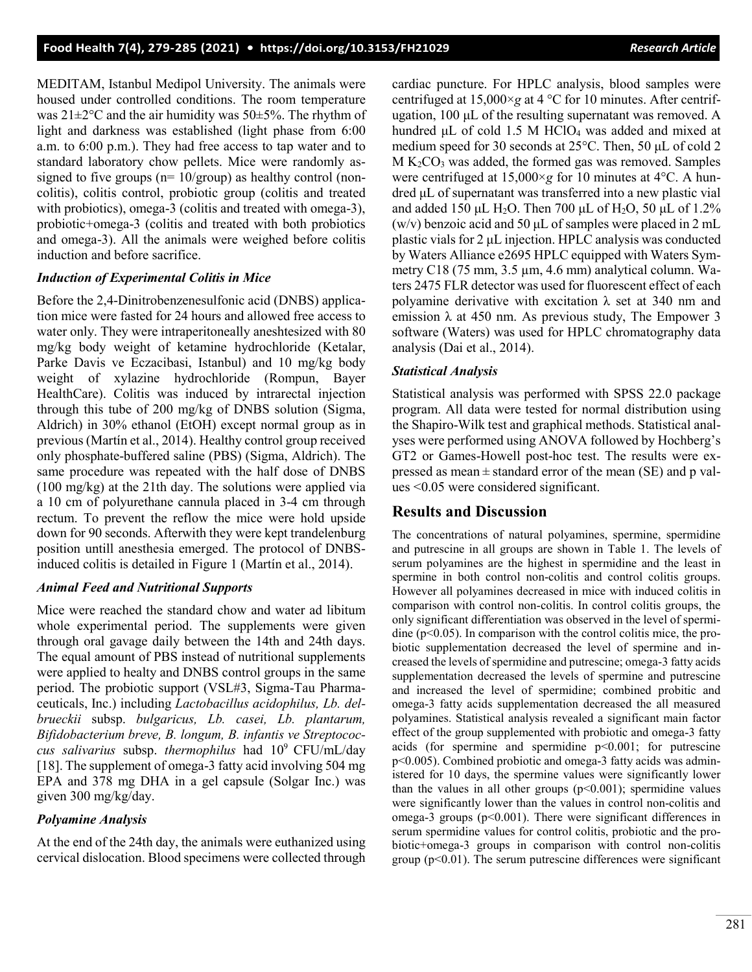MEDITAM, Istanbul Medipol University. The animals were housed under controlled conditions. The room temperature was  $21 \pm 2^{\circ}$ C and the air humidity was  $50 \pm 5\%$ . The rhythm of light and darkness was established (light phase from 6:00 a.m. to 6:00 p.m.). They had free access to tap water and to standard laboratory chow pellets. Mice were randomly assigned to five groups ( $n=10/group$ ) as healthy control (noncolitis), colitis control, probiotic group (colitis and treated with probiotics), omega-3 (colitis and treated with omega-3), probiotic+omega-3 (colitis and treated with both probiotics and omega-3). All the animals were weighed before colitis induction and before sacrifice.

#### *Induction of Experimental Colitis in Mice*

Before the 2,4-Dinitrobenzenesulfonic acid (DNBS) application mice were fasted for 24 hours and allowed free access to water only. They were intraperitoneally aneshtesized with 80 mg/kg body weight of ketamine hydrochloride (Ketalar, Parke Davis ve Eczacibasi, Istanbul) and 10 mg/kg body weight of xylazine hydrochloride (Rompun, Bayer HealthCare). Colitis was induced by intrarectal injection through this tube of 200 mg/kg of DNBS solution (Sigma, Aldrich) in 30% ethanol (EtOH) except normal group as in previous (Martín et al., 2014). Healthy control group received only phosphate-buffered saline (PBS) (Sigma, [Aldrich\).](http://www.sigmaaldrich.com/catalog/product/aldrich/556971) The same procedure was repeated with the half dose of DNBS (100 mg/kg) at the 21th day. The solutions were applied via a 10 cm of polyurethane cannula placed in 3-4 cm through rectum. To prevent the reflow the mice were hold upside down for 90 seconds. Afterwith they were kept trandelenburg position untill anesthesia emerged. The protocol of DNBSinduced colitis is detailed in Figure 1 (Martín et al., 2014).

#### *Animal Feed and Nutritional Supports*

Mice were reached the standard chow and water ad libitum whole experimental period. The supplements were given through oral gavage daily between the 14th and 24th days. The equal amount of PBS instead of nutritional supplements were applied to healty and DNBS control groups in the same period. The probiotic support (VSL#3, Sigma-Tau Pharmaceuticals, Inc.) including *Lactobacillus acidophilus, Lb. delbrueckii* subsp. *bulgaricus, Lb. casei, Lb. plantarum, Bifidobacterium breve, B. longum, B. infantis ve Streptococcus salivarius* subsp. *thermophilus* had 10<sup>9</sup>CFU/mL/day [18]. The supplement of omega-3 fatty acid involving 504 mg EPA and 378 mg DHA in a gel capsule (Solgar Inc.) was given 300 mg/kg/day.

#### *Polyamine Analysis*

At the end of the 24th day, the animals were euthanized using cervical dislocation. Blood specimens were collected through cardiac puncture. For HPLC analysis, blood samples were centrifuged at 15,000×*g* at 4 °C for 10 minutes. After centrifugation, 100 μL of the resulting supernatant was removed. A hundred  $\mu$ L of cold 1.5 M HClO<sub>4</sub> was added and mixed at medium speed for 30 seconds at 25°C. Then, 50 μL of cold 2  $M K<sub>2</sub>CO<sub>3</sub>$  was added, the formed gas was removed. Samples were centrifuged at 15,000×*g* for 10 minutes at 4°C. A hundred μL of supernatant was transferred into a new plastic vial and added 150 μL H<sub>2</sub>O. Then 700 μL of H<sub>2</sub>O, 50 μL of 1.2% (w/v) benzoic acid and 50  $\mu$ L of samples were placed in 2 mL plastic vials for 2 μL injection. HPLC analysis was conducted by Waters Alliance e2695 HPLC equipped with Waters Symmetry C18 (75 mm, 3.5 µm, 4.6 mm) analytical column. Waters 2475 FLR detector was used for fluorescent effect of each polyamine derivative with excitation  $\lambda$  set at 340 nm and emission  $\lambda$  at 450 nm. As previous study, The Empower 3 software (Waters) was used for HPLC chromatography data analysis (Dai et al., 2014).

#### *Statistical Analysis*

Statistical analysis was performed with SPSS 22.0 package program. All data were tested for normal distribution using the Shapiro-Wilk test and graphical methods. Statistical analyses were performed using ANOVA followed by Hochberg's GT2 or Games-Howell post-hoc test. The results were expressed as mean  $\pm$  standard error of the mean (SE) and p values <0.05 were considered significant.

#### **Results and Discussion**

The concentrations of natural polyamines, spermine, spermidine and putrescine in all groups are shown in Table 1. The levels of serum polyamines are the highest in spermidine and the least in spermine in both control non-colitis and control colitis groups. However all polyamines decreased in mice with induced colitis in comparison with control non-colitis. In control colitis groups, the only significant differentiation was observed in the level of spermidine ( $p<0.05$ ). In comparison with the control colitis mice, the probiotic supplementation decreased the level of spermine and increased the levels of spermidine and putrescine; omega-3 fatty acids supplementation decreased the levels of spermine and putrescine and increased the level of spermidine; combined probitic and omega-3 fatty acids supplementation decreased the all measured polyamines. Statistical analysis revealed a significant main factor effect of the group supplemented with probiotic and omega-3 fatty acids (for spermine and spermidine  $p<0.001$ ; for putrescine p<0.005). Combined probiotic and omega-3 fatty acids was administered for 10 days, the spermine values were significantly lower than the values in all other groups  $(p<0.001)$ ; spermidine values were significantly lower than the values in control non-colitis and omega-3 groups (p<0.001). There were significant differences in serum spermidine values for control colitis, probiotic and the probiotic+omega-3 groups in comparison with control non-colitis group  $(p<0.01)$ . The serum putrescine differences were significant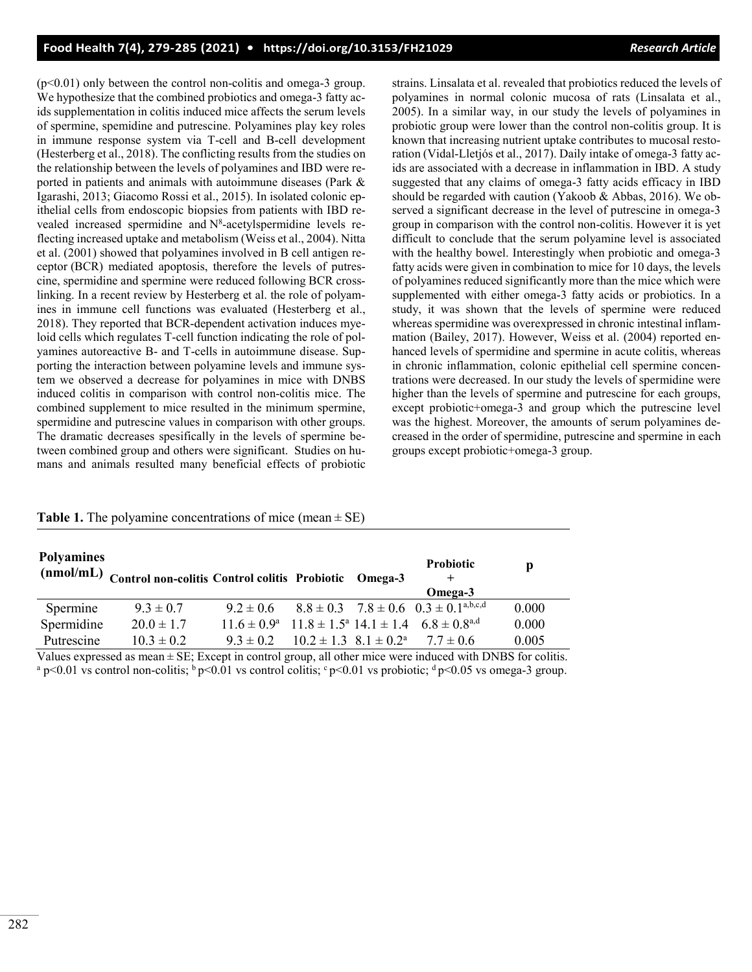$(p<0.01)$  only between the control non-colitis and omega-3 group. We hypothesize that the combined probiotics and omega-3 fatty acids supplementation in colitis induced mice affects the serum levels of spermine, spemidine and putrescine. Polyamines play key roles in immune response system via T-cell and B-cell development (Hesterberg et al., 2018). The conflicting results from the studies on the relationship between the levels of polyamines and IBD were reported in patients and animals with autoimmune diseases (Park & Igarashi, 2013; Giacomo Rossi et al., 2015). In isolated colonic epithelial cells from endoscopic biopsies from patients with IBD revealed increased spermidine and  $N^8$ -acetylspermidine levels reflecting increased uptake and metabolism (Weiss et al., 2004). Nitta et al. (2001) showed that polyamines involved in B cell antigen receptor (BCR) mediated apoptosis, therefore the levels of putrescine, spermidine and spermine were reduced following BCR crosslinking. In a recent review by Hesterberg et al. the role of polyamines in immune cell functions was evaluated (Hesterberg et al., 2018). They reported that BCR-dependent activation induces myeloid cells which regulates T-cell function indicating the role of polyamines autoreactive B- and T-cells in autoimmune disease. Supporting the interaction between polyamine levels and immune system we observed a decrease for polyamines in mice with DNBS induced colitis in comparison with control non-colitis mice. The combined supplement to mice resulted in the minimum spermine, spermidine and putrescine values in comparison with other groups. The dramatic decreases spesifically in the levels of spermine between combined group and others were significant. Studies on humans and animals resulted many beneficial effects of probiotic

strains. Linsalata et al. revealed that probiotics reduced the levels of polyamines in normal colonic mucosa of rats (Linsalata et al., 2005). In a similar way, in our study the levels of polyamines in probiotic group were lower than the control non-colitis group. It is known that increasing nutrient uptake contributes to mucosal restoration (Vidal-Lletjós et al., 2017). Daily intake of omega-3 fatty acids are associated with a decrease in inflammation in IBD. A study suggested that any claims of omega-3 fatty acids efficacy in IBD should be regarded with caution (Yakoob & Abbas, 2016). We observed a significant decrease in the level of putrescine in omega-3 group in comparison with the control non-colitis. However it is yet difficult to conclude that the serum polyamine level is associated with the healthy bowel. Interestingly when probiotic and omega-3 fatty acids were given in combination to mice for 10 days, the levels of polyamines reduced significantly more than the mice which were supplemented with either omega-3 fatty acids or probiotics. In a study, it was shown that the levels of spermine were reduced whereas spermidine was overexpressed in chronic intestinal inflammation (Bailey, 2017). However, Weiss et al. (2004) reported enhanced levels of spermidine and spermine in acute colitis, whereas in chronic inflammation, colonic epithelial cell spermine concentrations were decreased. In our study the levels of spermidine were higher than the levels of spermine and putrescine for each groups, except probiotic+omega-3 and group which the putrescine level was the highest. Moreover, the amounts of serum polyamines decreased in the order of spermidine, putrescine and spermine in each groups except probiotic+omega-3 group.

#### **Table 1.** The polyamine concentrations of mice (mean  $\pm$  SE)

| <b>Polyamines</b><br>(nmol/mL) | Control non-colitis Control colitis Probiotic Omega-3 |               |                                      | <b>Probiotic</b><br>$\pm$<br>Omega-3                                                          | p     |
|--------------------------------|-------------------------------------------------------|---------------|--------------------------------------|-----------------------------------------------------------------------------------------------|-------|
| Spermine                       | $9.3 \pm 0.7$                                         | $9.2 \pm 0.6$ |                                      | $8.8 \pm 0.3$ $7.8 \pm 0.6$ $0.3 \pm 0.1^{\text{a,b,c,d}}$                                    | 0.000 |
| Spermidine                     | $20.0 \pm 1.7$                                        |               |                                      | $11.6 \pm 0.9^{\text{a}}$ $11.8 \pm 1.5^{\text{a}}$ $14.1 \pm 1.4$ $6.8 \pm 0.8^{\text{a,d}}$ | 0.000 |
| Putrescine                     | $10.3 \pm 0.2$                                        | $9.3 \pm 0.2$ | $10.2 \pm 1.3$ $8.1 \pm 0.2^{\circ}$ | $7.7 + 0.6$                                                                                   | 0.005 |

Values expressed as mean  $\pm$  SE; Except in control group, all other mice were induced with DNBS for colitis. <sup>a</sup> p<0.01 vs control non-colitis;  $\frac{b}{p}$  p<0.01 vs control colitis;  $\frac{c}{p}$  p<0.01 vs probiotic;  $\frac{d}{p}$  p<0.05 vs omega-3 group.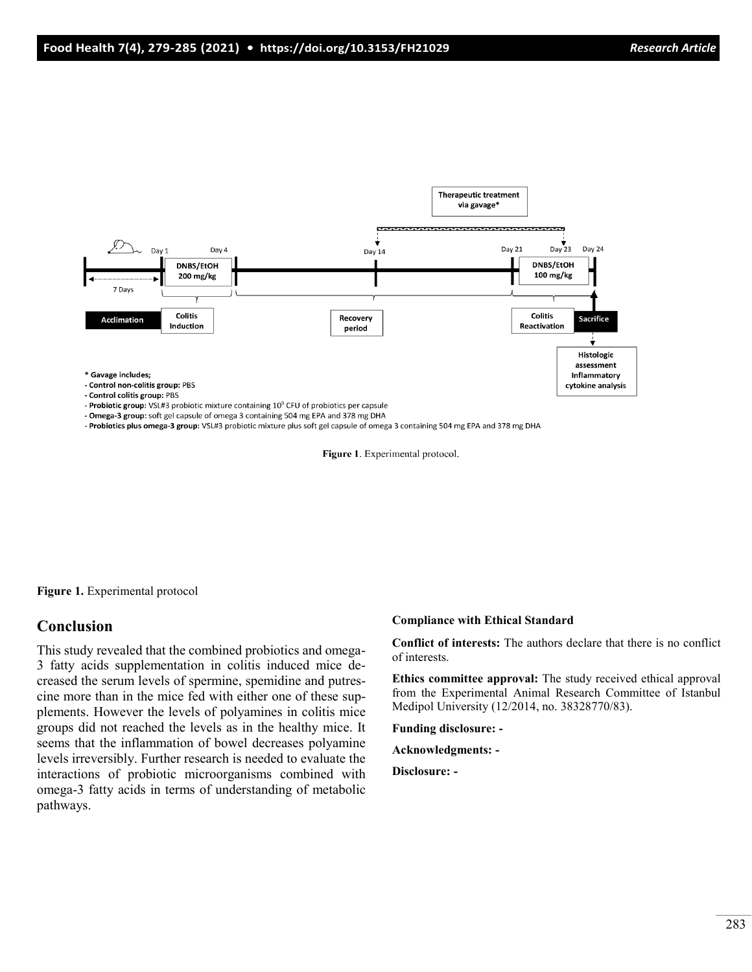

- Omega-3 group: soft gel capsule of omega 3 containing 504 mg EPA and 378 mg DHA

- Probiotics plus omega-3 group: VSL#3 probiotic mixture plus soft gel capsule of omega 3 containing 504 mg EPA and 378 mg DHA

Figure 1. Experimental protocol.

**Figure 1.** Experimental protocol

#### **Conclusion**

This study revealed that the combined probiotics and omega-3 fatty acids supplementation in colitis induced mice decreased the serum levels of spermine, spemidine and putrescine more than in the mice fed with either one of these supplements. However the levels of polyamines in colitis mice groups did not reached the levels as in the healthy mice. It seems that the inflammation of bowel decreases polyamine levels irreversibly. Further research is needed to evaluate the interactions of probiotic microorganisms combined with omega-3 fatty acids in terms of understanding of metabolic pathways.

#### **Compliance with Ethical Standard**

**Conflict of interests:** The authors declare that there is no conflict of interests.

**Ethics committee approval:** The study received ethical approval from the Experimental Animal Research Committee of Istanbul Medipol University (12/2014, no. 38328770/83).

**Funding disclosure: -** 

**Acknowledgments: -** 

**Disclosure: -**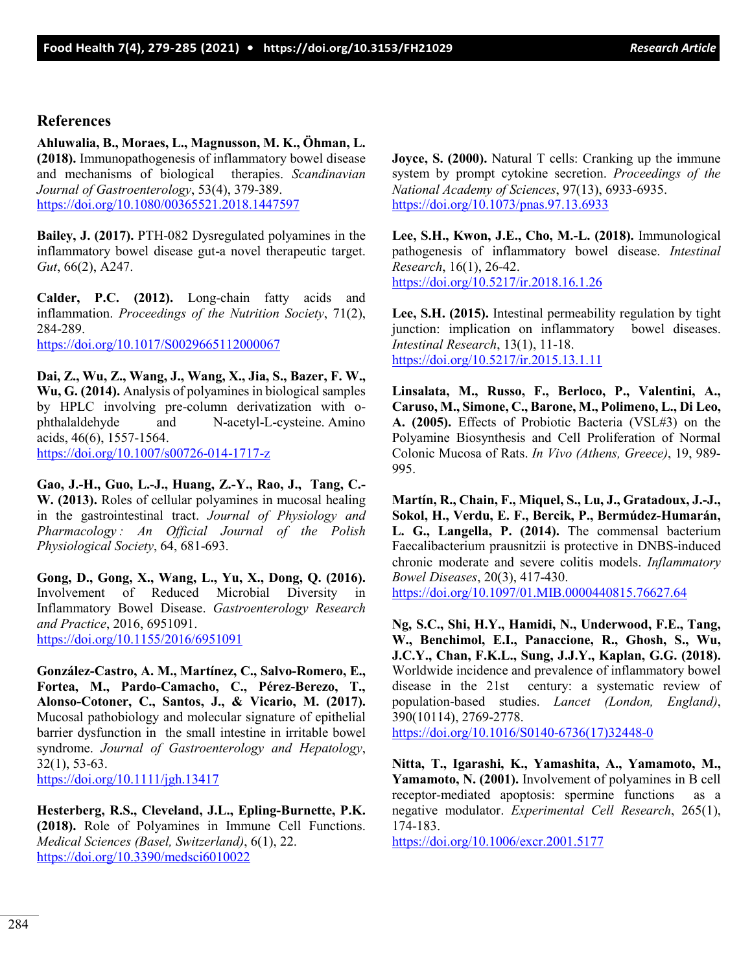#### **References**

**Ahluwalia, B., Moraes, L., Magnusson, M. K., Öhman, L. (2018).** Immunopathogenesis of inflammatory bowel disease and mechanisms of biological therapies. *Scandinavian Journal of Gastroenterology*, 53(4), 379-389. <https://doi.org/10.1080/00365521.2018.1447597>

**Bailey, J. (2017).** PTH-082 Dysregulated polyamines in the inflammatory bowel disease gut-a novel therapeutic target. *Gut*, 66(2), A247.

**Calder, P.C. (2012).** Long-chain fatty acids and inflammation. *Proceedings of the Nutrition Society*, 71(2), 284-289.

<https://doi.org/10.1017/S0029665112000067>

**Dai, Z., Wu, Z., Wang, J., Wang, X., Jia, S., Bazer, F. W., Wu, G. (2014).** Analysis of polyamines in biological samples by HPLC involving pre-column derivatization with ophthalaldehyde and N-acetyl-L-cysteine. Amino acids, 46(6), 1557-1564. [https://doi.org/10.1007/s00726](https://doi.org/10.1007/s00726-014-1717-z)-014-1717-z

**Gao, J.-H., Guo, L.-J., Huang, Z.-Y., Rao, J., Tang, C.- W. (2013).** Roles of cellular polyamines in mucosal healing in the gastrointestinal tract. *Journal of Physiology and Pharmacology : An Official Journal of the Polish Physiological Society*, 64, 681-693.

**Gong, D., Gong, X., Wang, L., Yu, X., Dong, Q. (2016).** Involvement of Reduced Microbial Diversity in Inflammatory Bowel Disease. *Gastroenterology Research and Practice*, 2016, 6951091. <https://doi.org/10.1155/2016/6951091>

**González-Castro, A. M., Martínez, C., Salvo-Romero, E., Fortea, M., Pardo-Camacho, C., Pérez-Berezo, T., Alonso-Cotoner, C., Santos, J., & Vicario, M. (2017).** Mucosal pathobiology and molecular signature of epithelial barrier dysfunction in the small intestine in irritable bowel syndrome. *Journal of Gastroenterology and Hepatology*, 32(1), 53-63.

<https://doi.org/10.1111/jgh.13417>

**Hesterberg, R.S., Cleveland, J.L., Epling-Burnette, P.K. (2018).** Role of Polyamines in Immune Cell Functions. *Medical Sciences (Basel, Switzerland)*, 6(1), 22. <https://doi.org/10.3390/medsci6010022>

**Joyce, S. (2000).** Natural T cells: Cranking up the immune system by prompt cytokine secretion. *Proceedings of the National Academy of Sciences*, 97(13), 6933-6935. <https://doi.org/10.1073/pnas.97.13.6933>

**Lee, S.H., Kwon, J.E., Cho, M.-L. (2018).** Immunological pathogenesis of inflammatory bowel disease. *Intestinal Research*, 16(1), 26-42. <https://doi.org/10.5217/ir.2018.16.1.26>

**Lee, S.H. (2015).** Intestinal permeability regulation by tight junction: implication on inflammatory bowel diseases. *Intestinal Research*, 13(1), 11-18. <https://doi.org/10.5217/ir.2015.13.1.11>

**Linsalata, M., Russo, F., Berloco, P., Valentini, A., Caruso, M., Simone, C., Barone, M., Polimeno, L., Di Leo, A. (2005).** Effects of Probiotic Bacteria (VSL#3) on the Polyamine Biosynthesis and Cell Proliferation of Normal Colonic Mucosa of Rats. *In Vivo (Athens, Greece)*, 19, 989- 995.

**Martín, R., Chain, F., Miquel, S., Lu, J., Gratadoux, J.-J., Sokol, H., Verdu, E. F., Bercik, P., Bermúdez-Humarán, L. G., Langella, P. (2014).** The commensal bacterium Faecalibacterium prausnitzii is protective in DNBS-induced chronic moderate and severe colitis models. *Inflammatory Bowel Diseases*, 20(3), 417-430. <https://doi.org/10.1097/01.MIB.0000440815.76627.64>

**Ng, S.C., Shi, H.Y., Hamidi, N., Underwood, F.E., Tang, W., Benchimol, E.I., Panaccione, R., Ghosh, S., Wu, J.C.Y., Chan, F.K.L., Sung, J.J.Y., Kaplan, G.G. (2018).** Worldwide incidence and prevalence of inflammatory bowel disease in the 21st century: a systematic review of population-based studies. *Lancet (London, England)*, 390(10114), 2769-2778.

[https://doi.org/10.1016/S0140](https://doi.org/10.1016/S0140-6736(17)32448-0)-6736(17)32448-0

**Nitta, T., Igarashi, K., Yamashita, A., Yamamoto, M., Yamamoto, N. (2001).** Involvement of polyamines in B cell receptor-mediated apoptosis: spermine functions as a negative modulator. *Experimental Cell Research*, 265(1), 174-183.

<https://doi.org/10.1006/excr.2001.5177>